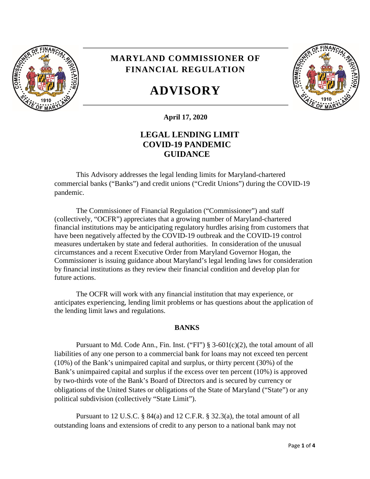

## **MARYLAND COMMISSIONER OF FINANCIAL REGULATION**

# **ADVISORY**



**April 17, 2020**

### **LEGAL LENDING LIMIT COVID-19 PANDEMIC GUIDANCE**

This Advisory addresses the legal lending limits for Maryland-chartered commercial banks ("Banks") and credit unions ("Credit Unions") during the COVID-19 pandemic.

The Commissioner of Financial Regulation ("Commissioner") and staff (collectively, "OCFR") appreciates that a growing number of Maryland-chartered financial institutions may be anticipating regulatory hurdles arising from customers that have been negatively affected by the COVID-19 outbreak and the COVID-19 control measures undertaken by state and federal authorities. In consideration of the unusual circumstances and a recent Executive Order from Maryland Governor Hogan, the Commissioner is issuing guidance about Maryland's legal lending laws for consideration by financial institutions as they review their financial condition and develop plan for future actions.

The OCFR will work with any financial institution that may experience, or anticipates experiencing, lending limit problems or has questions about the application of the lending limit laws and regulations.

#### **BANKS**

Pursuant to Md. Code Ann., Fin. Inst. ("FI")  $\S$  3-601(c)(2), the total amount of all liabilities of any one person to a commercial bank for loans may not exceed ten percent (10%) of the Bank's unimpaired capital and surplus, or thirty percent (30%) of the Bank's unimpaired capital and surplus if the excess over ten percent (10%) is approved by two-thirds vote of the Bank's Board of Directors and is secured by currency or obligations of the United States or obligations of the State of Maryland ("State") or any political subdivision (collectively "State Limit").

Pursuant to 12 U.S.C. § 84(a) and 12 C.F.R. § 32.3(a), the total amount of all outstanding loans and extensions of credit to any person to a national bank may not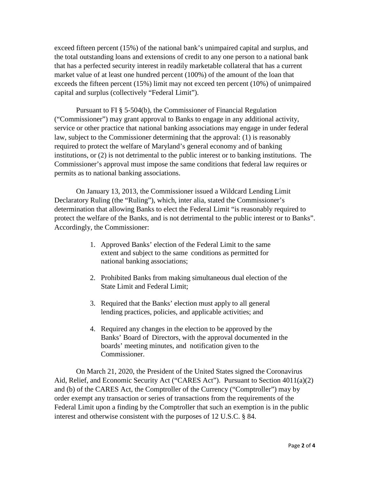exceed fifteen percent (15%) of the national bank's unimpaired capital and surplus, and the total outstanding loans and extensions of credit to any one person to a national bank that has a perfected security interest in readily marketable collateral that has a current market value of at least one hundred percent (100%) of the amount of the loan that exceeds the fifteen percent (15%) limit may not exceed ten percent (10%) of unimpaired capital and surplus (collectively "Federal Limit").

Pursuant to FI § 5-504(b), the Commissioner of Financial Regulation ("Commissioner") may grant approval to Banks to engage in any additional activity, service or other practice that national banking associations may engage in under federal law, subject to the Commissioner determining that the approval: (1) is reasonably required to protect the welfare of Maryland's general economy and of banking institutions, or (2) is not detrimental to the public interest or to banking institutions. The Commissioner's approval must impose the same conditions that federal law requires or permits as to national banking associations.

On January 13, 2013, the Commissioner issued a Wildcard Lending Limit Declaratory Ruling (the "Ruling"), which, inter alia, stated the Commissioner's determination that allowing Banks to elect the Federal Limit "is reasonably required to protect the welfare of the Banks, and is not detrimental to the public interest or to Banks". Accordingly, the Commissioner:

- 1. Approved Banks' election of the Federal Limit to the same extent and subject to the same conditions as permitted for national banking associations;
- 2. Prohibited Banks from making simultaneous dual election of the State Limit and Federal Limit;
- 3. Required that the Banks' election must apply to all general lending practices, policies, and applicable activities; and
- 4. Required any changes in the election to be approved by the Banks' Board of Directors, with the approval documented in the boards' meeting minutes, and notification given to the Commissioner.

On March 21, 2020, the President of the United States signed the Coronavirus Aid, Relief, and Economic Security Act ("CARES Act"). Pursuant to Section 4011(a)(2) and (b) of the CARES Act, the Comptroller of the Currency ("Comptroller") may by order exempt any transaction or series of transactions from the requirements of the Federal Limit upon a finding by the Comptroller that such an exemption is in the public interest and otherwise consistent with the purposes of 12 U.S.C. § 84.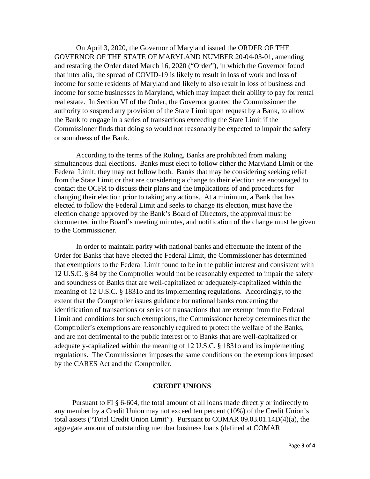On April 3, 2020, the Governor of Maryland issued the ORDER OF THE GOVERNOR OF THE STATE OF MARYLAND NUMBER 20-04-03-01, amending and restating the Order dated March 16, 2020 ("Order"), in which the Governor found that inter alia, the spread of COVID-19 is likely to result in loss of work and loss of income for some residents of Maryland and likely to also result in loss of business and income for some businesses in Maryland, which may impact their ability to pay for rental real estate. In Section VI of the Order, the Governor granted the Commissioner the authority to suspend any provision of the State Limit upon request by a Bank, to allow the Bank to engage in a series of transactions exceeding the State Limit if the Commissioner finds that doing so would not reasonably be expected to impair the safety or soundness of the Bank.

According to the terms of the Ruling, Banks are prohibited from making simultaneous dual elections. Banks must elect to follow either the Maryland Limit or the Federal Limit; they may not follow both. Banks that may be considering seeking relief from the State Limit or that are considering a change to their election are encouraged to contact the OCFR to discuss their plans and the implications of and procedures for changing their election prior to taking any actions. At a minimum, a Bank that has elected to follow the Federal Limit and seeks to change its election, must have the election change approved by the Bank's Board of Directors, the approval must be documented in the Board's meeting minutes, and notification of the change must be given to the Commissioner.

In order to maintain parity with national banks and effectuate the intent of the Order for Banks that have elected the Federal Limit, the Commissioner has determined that exemptions to the Federal Limit found to be in the public interest and consistent with 12 U.S.C. § 84 by the Comptroller would not be reasonably expected to impair the safety and soundness of Banks that are well-capitalized or adequately-capitalized within the meaning of 12 U.S.C. § 1831o and its implementing regulations. Accordingly, to the extent that the Comptroller issues guidance for national banks concerning the identification of transactions or series of transactions that are exempt from the Federal Limit and conditions for such exemptions, the Commissioner hereby determines that the Comptroller's exemptions are reasonably required to protect the welfare of the Banks, and are not detrimental to the public interest or to Banks that are well-capitalized or adequately-capitalized within the meaning of 12 U.S.C. § 1831o and its implementing regulations. The Commissioner imposes the same conditions on the exemptions imposed by the CARES Act and the Comptroller.

#### **CREDIT UNIONS**

Pursuant to FI § 6-604, the total amount of all loans made directly or indirectly to any member by a Credit Union may not exceed ten percent (10%) of the Credit Union's total assets ("Total Credit Union Limit"). Pursuant to COMAR 09.03.01.14D(4)(a), the aggregate amount of outstanding member business loans (defined at COMAR